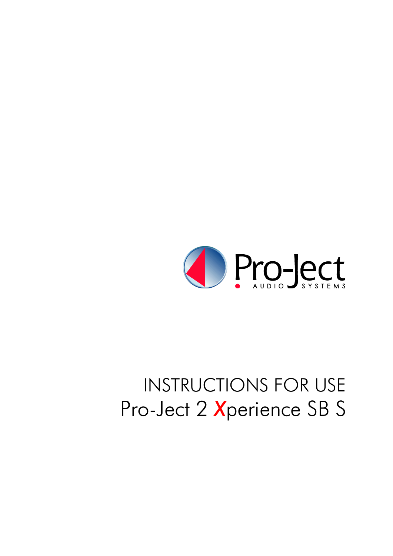

# INSTRUCTIONS FOR USE Pro-Ject 2 *X*perience SB S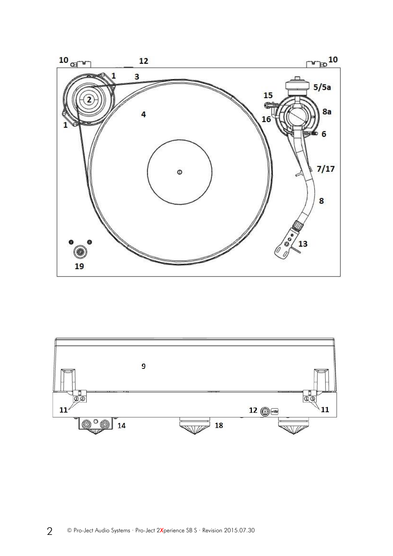

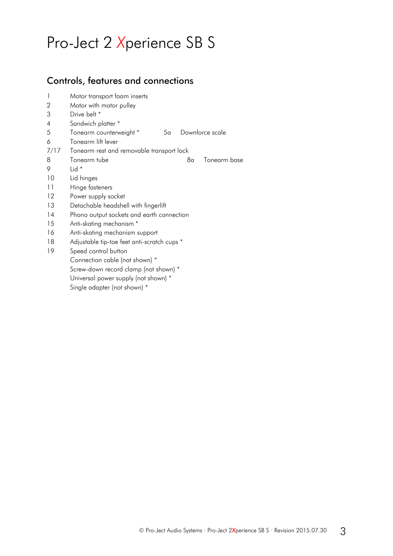# Pro-Ject 2 *X*perience SB S

# Controls, features and connections

- 1 Motor transport foam inserts
- 2 Motor with motor pulley
- 3 Drive belt \*
- 4 Sandwich platter \*
- 5 Tonearm counterweight \* 5a Downforce scale
- 6 Tonearm lift lever
- 7/17 Tonearm rest and removable transport lock
- 8 Tonearm tube 8a Tonearm base
- 9 Lid \*
- 10 Lid hinges
- 11 Hinge fasteners
- 12 Power supply socket
- 13 Detachable headshell with fingerlift
- 14 Phono output sockets and earth connection
- 15 Anti-skating mechanism<sup>\*</sup>
- 16 Anti-skating mechanism support
- 18 Adjustable tip-toe feet anti-scratch cups \*
- 19 Speed control button
	- Connection cable (not shown) \*
	- Screw-down record clamp (not shown) \*
	- Universal power supply (not shown) \*
	- Single adapter (not shown) \*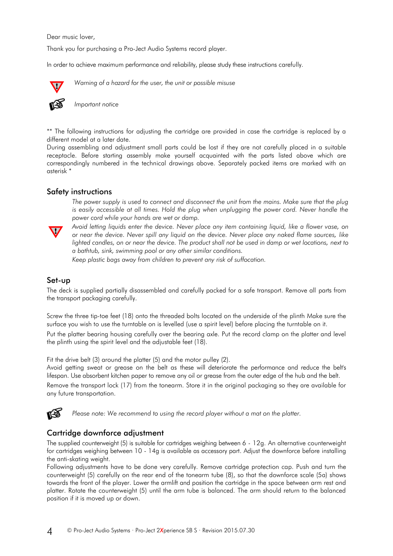Dear music lover,

Thank you for purchasing a Pro-Ject Audio Systems record player.

In order to achieve maximum performance and reliability, please study these instructions carefully.



*Warning of a hazard for the user, the unit or possible misuse*



*Important notice*

\*\* The following instructions for adjusting the cartridge are provided in case the cartridge is replaced by a different model at a later date.

During assembling and adjustment small parts could be lost if they are not carefully placed in a suitable receptacle. Before starting assembly make yourself acquainted with the parts listed above which are correspondingly numbered in the technical drawings above. Separately packed items are marked with an asterisk \*

### Safety instructions

*The power supply is used to connect and disconnect the unit from the mains. Make sure that the plug*  is easily accessible at all times. Hold the plug when unplugging the power cord. Never handle the *power cord while your hands are wet or damp.*



*Avoid letting liquids enter the device. Never place any item containing liquid, like a flower vase, on or near the device. Never spill any liquid on the device. Never place any naked flame sources, like lighted candles, on or near the device. The product shall not be used in damp or wet locations, next to a bathtub, sink, swimming pool or any other similar conditions.*

*Keep plastic bags away from children to prevent any risk of suffocation.*

#### Set-up

The deck is supplied partially disassembled and carefully packed for a safe transport. Remove all parts from the transport packaging carefully.

Screw the three tip-toe feet (18) onto the threaded bolts located on the underside of the plinth Make sure the surface you wish to use the turntable on is levelled (use a spirit level) before placing the turntable on it.

Put the platter bearing housing carefully over the bearing axle. Put the record clamp on the platter and level the plinth using the spirit level and the adjustable feet (18).

Fit the drive belt (3) around the platter (5) and the motor pulley (2).

Avoid getting sweat or grease on the belt as these will deteriorate the performance and reduce the belt's lifespan. Use absorbent kitchen paper to remove any oil or grease from the outer edge of the hub and the belt.

Remove the transport lock (17) from the tonearm. Store it in the original packaging so they are available for any future transportation.



*Please note: We recommend to using the record player without a mat on the platter.*

# Cartridge downforce adjustment

The supplied counterweight (5) is suitable for cartridges weighing between 6 - 12g. An alternative counterweight for cartridges weighing between 10 - 14g is available as accessory part. Adjust the downforce before installing the anti-skating weight.

Following adjustments have to be done very carefully. Remove cartridge protection cap. Push and turn the counterweight (5) carefully on the rear end of the tonearm tube (8), so that the downforce scale (5a) shows towards the front of the player. Lower the armlift and position the cartridge in the space between arm rest and platter. Rotate the counterweight (5) until the arm tube is balanced. The arm should return to the balanced position if it is moved up or down.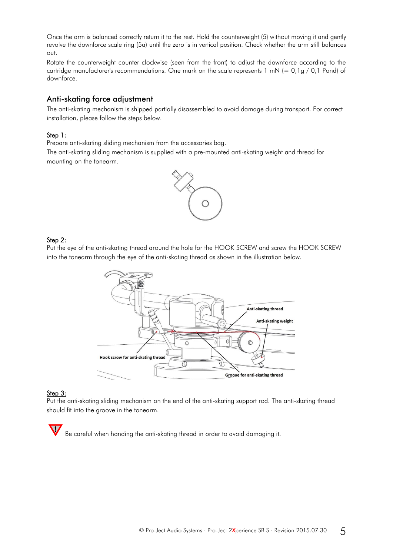Once the arm is balanced correctly return it to the rest. Hold the counterweight (5) without moving it and gently revolve the downforce scale ring (5a) until the zero is in vertical position. Check whether the arm still balances out.

Rotate the counterweight counter clockwise (seen from the front) to adjust the downforce according to the cartridge manufacturer's recommendations. One mark on the scale represents 1 mN (= 0,1g / 0,1 Pond) of downforce.

## Anti-skating force adjustment

The anti-skating mechanism is shipped partially disassembled to avoid damage during transport. For correct installation, please follow the steps below.

#### Step 1:

Prepare anti-skating sliding mechanism from the accessories bag.

The anti-skating sliding mechanism is supplied with a pre-mounted anti-skating weight and thread for mounting on the tonearm.



#### Step 2:

Put the eye of the anti-skating thread around the hole for the HOOK SCREW and screw the HOOK SCREW into the tonearm through the eye of the anti-skating thread as shown in the illustration below.



#### Step 3:

Put the anti-skating sliding mechanism on the end of the anti-skating support rod. The anti-skating thread should fit into the groove in the tonearm.

Be careful when handing the anti-skating thread in order to avoid damaging it.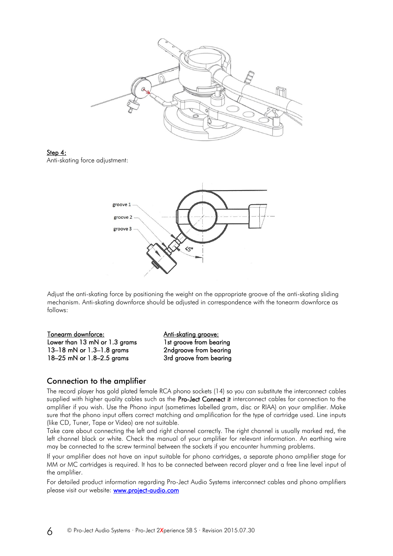

Step 4: Anti-skating force adjustment:



Adjust the anti-skating force by positioning the weight on the appropriate groove of the anti-skating sliding mechanism. Anti-skating downforce should be adjusted in correspondence with the tonearm downforce as follows:

Tonearm downforce: Anti-skating groove: Lower than 13 mN or 1.3 grams 1st groove from bearing 13–18 mN or 1.3–1.8 grams 2ndgroove from bearing 18–25 mN or 1.8–2.5 grams 3rd groove from bearing

# Connection to the amplifier

The record player has gold plated female RCA phono sockets (14) so you can substitute the interconnect cables supplied with higher quality cables such as the Pro-Ject Connect it interconnect cables for connection to the amplifier if you wish. Use the Phono input (sometimes labelled gram, disc or RIAA) on your amplifier. Make sure that the phono input offers correct matching and amplification for the type of cartridge used. Line inputs (like CD, Tuner, Tape or Video) are not suitable.

Take care about connecting the left and right channel correctly. The right channel is usually marked red, the left channel black or white. Check the manual of your amplifier for relevant information. An earthing wire may be connected to the screw terminal between the sockets if you encounter humming problems.

If your amplifier does not have an input suitable for phono cartridges, a separate phono amplifier stage for MM or MC cartridges is required. It has to be connected between record player and a free line level input of the amplifier.

For detailed product information regarding Pro-Ject Audio Systems interconnect cables and phono amplifiers please visit our website: [www.project-audio.com](http://www.project-audio.com/)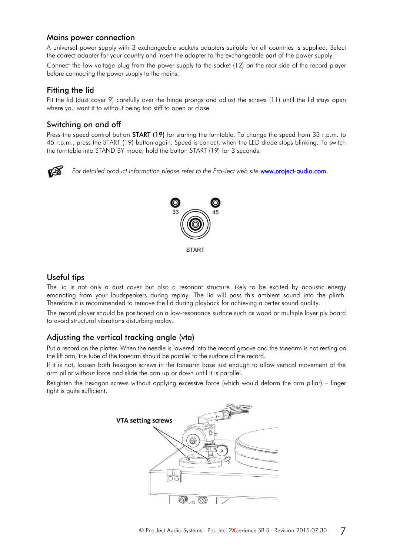#### Mains power connection

A universal power supply with 3 exchangeable sockets adapters suitable for all countries is supplied. Select the correct adapter for your country and insert the adapter to the exchangeable part of the power supply.

Connect the low voltage plug from the power supply to the socket (12) on the rear side of the record player before connecting the power supply to the mains.

# Fitting the lid

Fit the lid (dust cover 9) carefully over the hinge prongs and adjust the screws (11) until the lid stays open where you want it to without being too stiff to open or close.

### Switching on and off

Press the speed control button **START (19)** for starting the turntable. To change the speed from 33 r.p.m. to 45 r.p.m., press the START (19) button again. Speed is correct, when the LED diode stops blinking. To switch the turntable into STAND BY mode, hold the button START (19) for 3 seconds.



For detailed product information please refer to the Pro-Ject web site [www.project-audio.com.](http://www.project-audio.com/)



# Useful tips

The lid is not only a dust cover but also a resonant structure likely to be excited by acoustic energy emanating from your loudspeakers during replay. The lid will pass this ambient sound into the plinth. Therefore it is recommended to remove the lid during playback for achieving a better sound quality.

The record player should be positioned on a low-resonance surface such as wood or multiple layer ply board to avoid structural vibrations disturbing replay.

# Adjusting the vertical tracking angle (vta)

Put a record on the platter. When the needle is lowered into the record groove and the tonearm is not resting on the lift arm, the tube of the tonearm should be parallel to the surface of the record.

If it is not, loosen both hexagon screws in the tonearm base just enough to allow vertical movement of the arm pillar without force and slide the arm up or down until it is parallel.

Retighten the hexagon screws without applying excessive force (which would deform the arm pillar) – finger tight is quite sufficient.

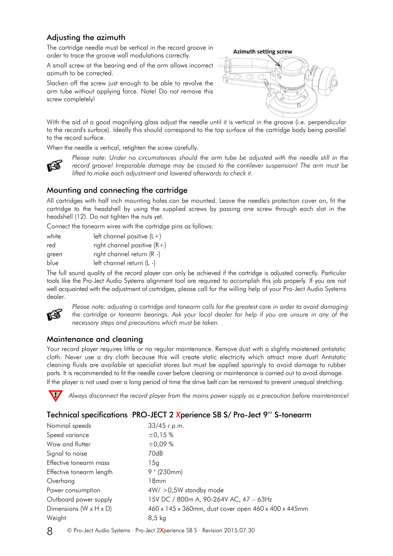# Adjusting the azimuth

The cartridge needle must be vertical in the record groove in order to trace the groove wall modulations correctly.

A small screw at the bearing end of the arm allows incorrect azimuth to be corrected.

Slacken off the screw just enough to be able to revolve the arm tube without applying force. Note! Do not remove this screw completely!



With the aid of a good magnifying glass adjust the needle until it is vertical in the groove (i.e. perpendicular to the record's surface). Ideally this should correspond to the top surface of the cartridge body being parallel to the record surface.

When the needle is vertical, retighten the screw carefully.



*Please note: Under no circumstances should the arm tube be adjusted with the needle still in the* record groove! Irreparable damage may be caused to the cantilever suspension! The arm must be *lifted to make each adjustment and lowered afterwards to check it.*

# Mounting and connecting the cartridge

All cartridges with half inch mounting holes can be mounted. Leave the needle's protection cover on, fit the cartridge to the headshell by using the supplied screws by passing one screw through each slot in the headshell (12). Do not tighten the nuts yet.

Connect the tonearm wires with the cartridge pins as follows:

| white | left channel positive $(L+)$  |  |
|-------|-------------------------------|--|
| red   | right channel positive $(R+)$ |  |
| green | right channel return (R -)    |  |
| blue  | left channel return (L -)     |  |

The full sound quality of the record player can only be achieved if the cartridge is adjusted correctly. Particular tools like the Pro-Ject Audio Systems alignment tool are required to accomplish this job properly. If you are not well acquainted with the adjustment of cartridges, please call for the willing help of your Pro-Ject Audio Systems dealer.



*Please note: adjusting a cartridge and tonearm calls for the greatest care in order to avoid damaging the cartridge or tonearm bearings. Ask your local dealer for help if you are unsure in any of the necessary steps and precautions which must be taken.*

# Maintenance and cleaning

Your record player requires little or no regular maintenance. Remove dust with a slightly moistened antistatic cloth. Never use a dry cloth because this will create static electricity which attract more dust! Antistatic cleaning fluids are available at specialist stores but must be applied sparingly to avoid damage to rubber parts. It is recommended to fit the needle cover before cleaning or maintenance is carried out to avoid damage. If the player is not used over a long period of time the drive belt can be removed to prevent unequal stretching.



*Always disconnect the record player from the mains power supply as a precaution before maintenance!*

# Technical specifications PRO-JECT 2 *X*perience SB S/ Pro-Ject 9'' S-tonearm

| Nominal speeds<br>33/45 r.p.m.            |                                                      |
|-------------------------------------------|------------------------------------------------------|
| ±0,15%<br>Speed variance                  |                                                      |
| ±0,09%<br>Wow and flutter                 |                                                      |
| 70dB<br>Signal to noise                   |                                                      |
| Effective tonearm mass<br>15a             |                                                      |
| $9$ " (230mm)<br>Effective tonearm length |                                                      |
| 18mm                                      |                                                      |
| Power consumption                         | $4W/ > 0.5W$ standby mode                            |
| Outboard power supply                     | 15V DC / 800m A, 90-264V AC, 47 - 63Hz               |
| Dimensions ( $W \times H \times D$ )      | 460 x 145 x 360mm, dust cover open 460 x 400 x 445mm |
| $8,5$ kg                                  |                                                      |
|                                           |                                                      |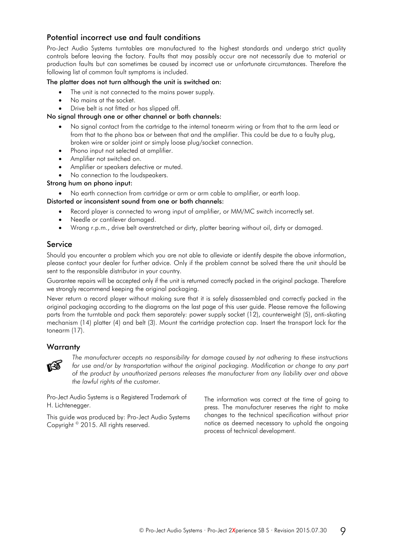# Potential incorrect use and fault conditions

Pro-Ject Audio Systems turntables are manufactured to the highest standards and undergo strict quality controls before leaving the factory. Faults that may possibly occur are not necessarily due to material or production faults but can sometimes be caused by incorrect use or unfortunate circumstances. Therefore the following list of common fault symptoms is included.

#### The platter does not turn although the unit is switched on:

- The unit is not connected to the mains power supply.
- No mains at the socket.
- Drive belt is not fitted or has slipped off.

#### No signal through one or other channel or both channels:

- No signal contact from the cartridge to the internal tonearm wiring or from that to the arm lead or from that to the phono box or between that and the amplifier. This could be due to a faulty plug, broken wire or solder joint or simply loose plug/socket connection.
- Phono input not selected at amplifier.
- Amplifier not switched on.
- Amplifier or speakers defective or muted.
- No connection to the loudspeakers.

#### Strong hum on phono input:

No earth connection from cartridge or arm or arm cable to amplifier, or earth loop.

#### Distorted or inconsistent sound from one or both channels:

- Record player is connected to wrong input of amplifier, or MM/MC switch incorrectly set.
- Needle or cantilever damaged.
- Wrong r.p.m., drive belt overstretched or dirty, platter bearing without oil, dirty or damaged.

#### Service

Should you encounter a problem which you are not able to alleviate or identify despite the above information, please contact your dealer for further advice. Only if the problem cannot be solved there the unit should be sent to the responsible distributor in your country.

Guarantee repairs will be accepted only if the unit is returned correctly packed in the original package. Therefore we strongly recommend keeping the original packaging.

Never return a record player without making sure that it is safely disassembled and correctly packed in the original packaging according to the diagrams on the last page of this user guide. Please remove the following parts from the turntable and pack them separately: power supply socket (12), counterweight (5), anti-skating mechanism (14) platter (4) and belt (3). Mount the cartridge protection cap. Insert the transport lock for the tonearm (17).

#### **Warranty**



*The manufacturer accepts no responsibility for damage caused by not adhering to these instructions for use and/or by transportation without the original packaging. Modification or change to any part of the product by unauthorized persons releases the manufacturer from any liability over and above the lawful rights of the customer.*

Pro-Ject Audio Systems is a Registered Trademark of H. Lichtenegger.

This guide was produced by: Pro-Ject Audio Systems Copyright © 2015. All rights reserved.

The information was correct at the time of going to press. The manufacturer reserves the right to make changes to the technical specification without prior notice as deemed necessary to uphold the ongoing process of technical development.